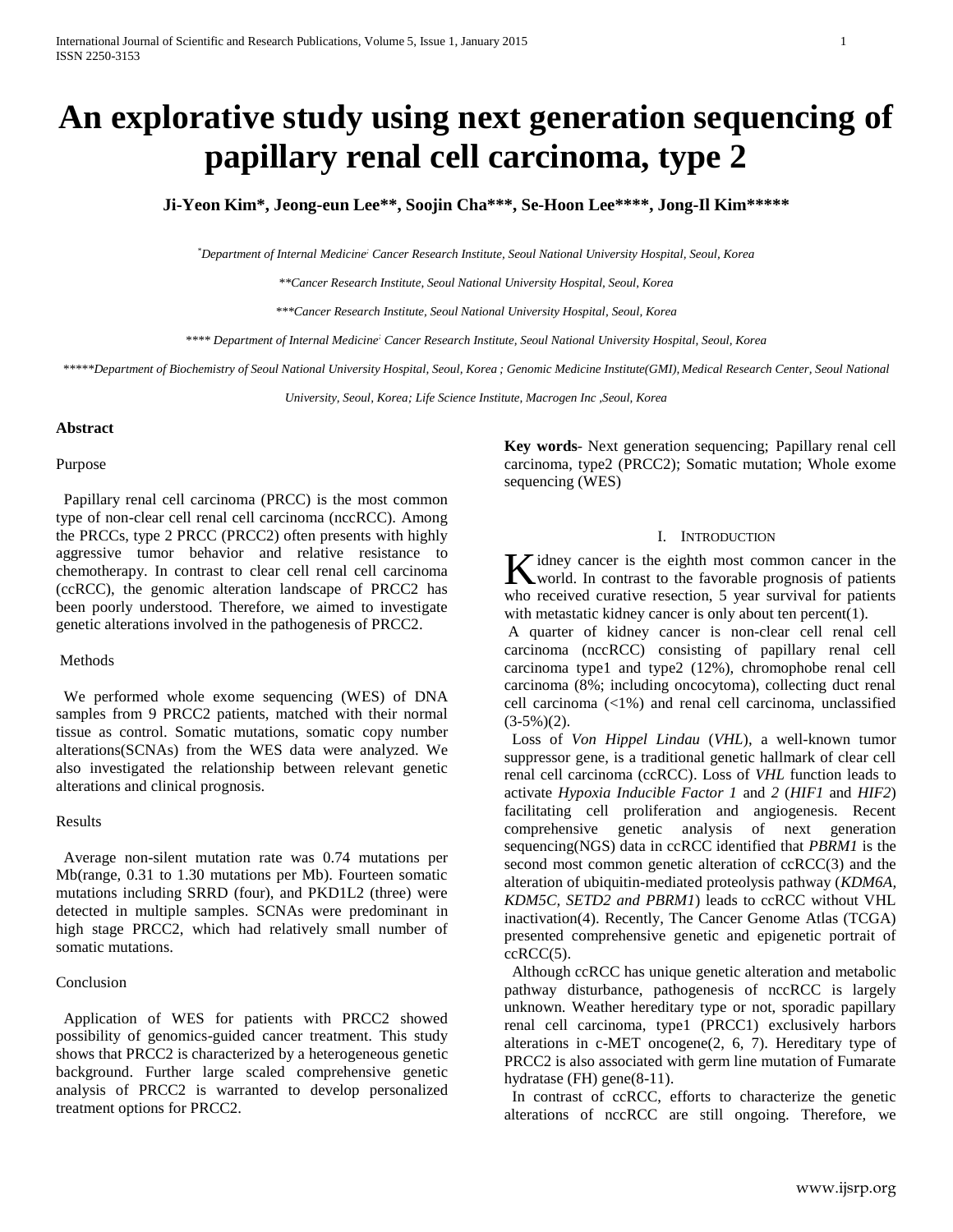# **An explorative study using next generation sequencing of papillary renal cell carcinoma, type 2**

# **Ji-Yeon Kim\*, Jeong-eun Lee\*\*, Soojin Cha\*\*\*, Se-Hoon Lee\*\*\*\*, Jong-Il Kim\*\*\*\*\***

*\*Department of Internal Medicine; Cancer Research Institute, Seoul National University Hospital, Seoul, Korea*

*\*\*Cancer Research Institute, Seoul National University Hospital, Seoul, Korea*

*\*\*\*Cancer Research Institute, Seoul National University Hospital, Seoul, Korea*

*\*\*\*\* Department of Internal Medicine; Cancer Research Institute, Seoul National University Hospital, Seoul, Korea*

*\*\*\*\*\*Department of Biochemistry of Seoul National University Hospital, Seoul, Korea ; Genomic Medicine Institute(GMI), Medical Research Center, Seoul National* 

*University, Seoul, Korea; Life Science Institute, Macrogen Inc ,Seoul, Korea*

#### **Abstract**

#### Purpose

Papillary renal cell carcinoma (PRCC) is the most common type of non-clear cell renal cell carcinoma (nccRCC). Among the PRCCs, type 2 PRCC (PRCC2) often presents with highly aggressive tumor behavior and relative resistance to chemotherapy. In contrast to clear cell renal cell carcinoma (ccRCC), the genomic alteration landscape of PRCC2 has been poorly understood. Therefore, we aimed to investigate genetic alterations involved in the pathogenesis of PRCC2.

#### Methods

We performed whole exome sequencing (WES) of DNA samples from 9 PRCC2 patients, matched with their normal tissue as control. Somatic mutations, somatic copy number alterations(SCNAs) from the WES data were analyzed. We also investigated the relationship between relevant genetic alterations and clinical prognosis.

#### Results

Average non-silent mutation rate was 0.74 mutations per Mb(range, 0.31 to 1.30 mutations per Mb). Fourteen somatic mutations including SRRD (four), and PKD1L2 (three) were detected in multiple samples. SCNAs were predominant in high stage PRCC2, which had relatively small number of somatic mutations.

#### Conclusion

Application of WES for patients with PRCC2 showed possibility of genomics-guided cancer treatment. This study shows that PRCC2 is characterized by a heterogeneous genetic background. Further large scaled comprehensive genetic analysis of PRCC2 is warranted to develop personalized treatment options for PRCC2.

**Key words**- Next generation sequencing; Papillary renal cell carcinoma, type2 (PRCC2); Somatic mutation; Whole exome sequencing (WES)

# I. INTRODUCTION

idney cancer is the eighth most common cancer in the K idney cancer is the eighth most common cancer in the world. In contrast to the favorable prognosis of patients who received curative resection, 5 year survival for patients with metastatic kidney cancer is only about ten percent(1).

A quarter of kidney cancer is non-clear cell renal cell carcinoma (nccRCC) consisting of papillary renal cell carcinoma type1 and type2 (12%), chromophobe renal cell carcinoma (8%; including oncocytoma), collecting duct renal cell carcinoma (<1%) and renal cell carcinoma, unclassified  $(3-5\%)(2)$ .

Loss of *Von Hippel Lindau* (*VHL*), a well-known tumor suppressor gene, is a traditional genetic hallmark of clear cell renal cell carcinoma (ccRCC). Loss of *VHL* function leads to activate *Hypoxia Inducible Factor 1* and *2* (*HIF1* and *HIF2*) facilitating cell proliferation and angiogenesis. Recent comprehensive genetic analysis of next generation sequencing(NGS) data in ccRCC identified that *PBRM1* is the second most common genetic alteration of ccRCC(3) and the alteration of ubiquitin-mediated proteolysis pathway (*KDM6A, KDM5C, SETD2 and PBRM1*) leads to ccRCC without VHL inactivation(4). Recently, The Cancer Genome Atlas (TCGA) presented comprehensive genetic and epigenetic portrait of  $cercC(5)$ .

Although ccRCC has unique genetic alteration and metabolic pathway disturbance, pathogenesis of nccRCC is largely unknown. Weather hereditary type or not, sporadic papillary renal cell carcinoma, type1 (PRCC1) exclusively harbors alterations in c-MET oncogene(2, 6, 7). Hereditary type of PRCC2 is also associated with germ line mutation of Fumarate hydratase (FH) gene(8-11).

In contrast of ccRCC, efforts to characterize the genetic alterations of nccRCC are still ongoing. Therefore, we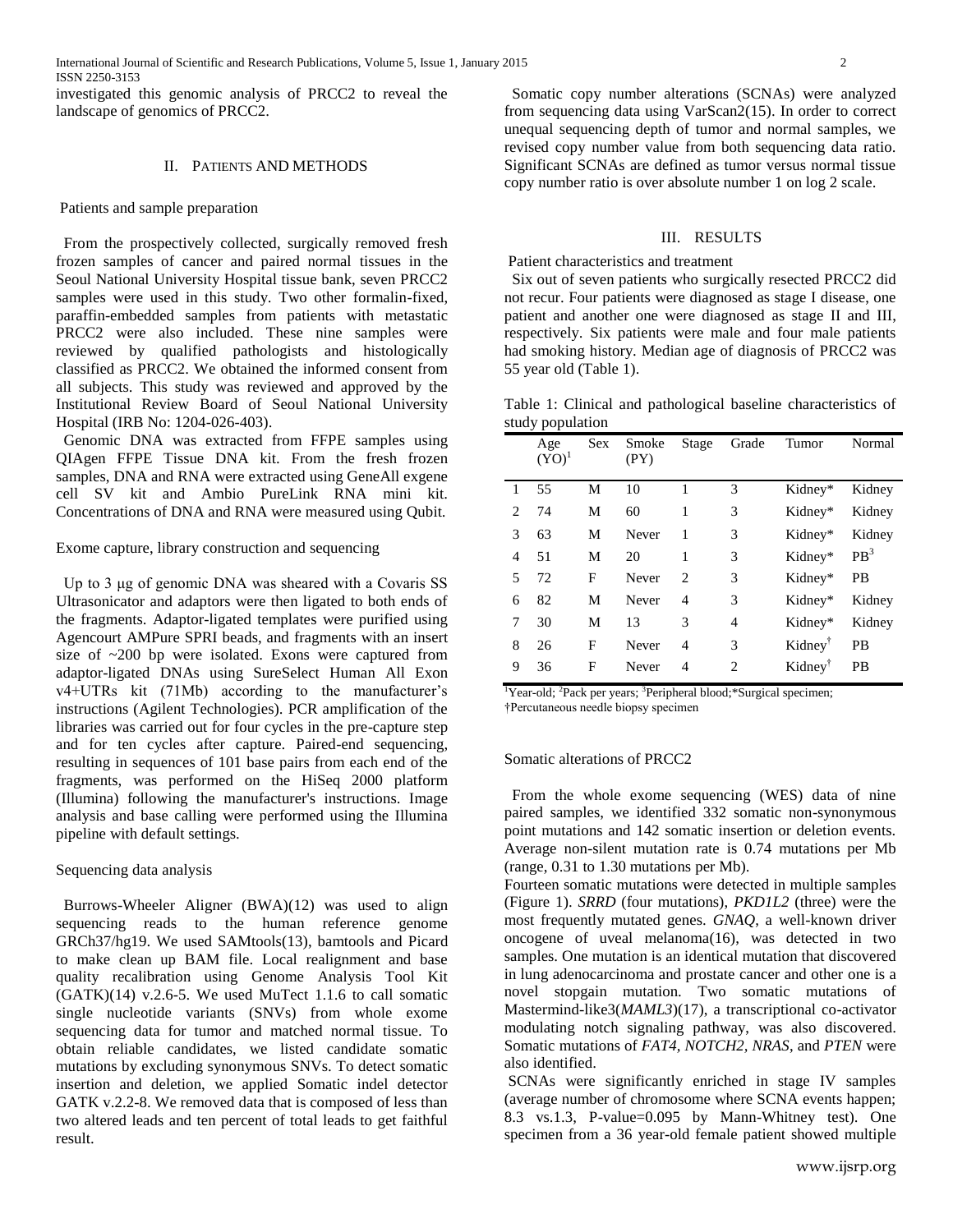investigated this genomic analysis of PRCC2 to reveal the landscape of genomics of PRCC2.

# II. PATIENTS AND METHODS

#### Patients and sample preparation

From the prospectively collected, surgically removed fresh frozen samples of cancer and paired normal tissues in the Seoul National University Hospital tissue bank, seven PRCC2 samples were used in this study. Two other formalin-fixed, paraffin-embedded samples from patients with metastatic PRCC2 were also included. These nine samples were reviewed by qualified pathologists and histologically classified as PRCC2. We obtained the informed consent from all subjects. This study was reviewed and approved by the Institutional Review Board of Seoul National University Hospital (IRB No: 1204-026-403).

Genomic DNA was extracted from FFPE samples using QIAgen FFPE Tissue DNA kit. From the fresh frozen samples, DNA and RNA were extracted using GeneAll exgene cell SV kit and Ambio PureLink RNA mini kit. Concentrations of DNA and RNA were measured using Qubit.

Exome capture, library construction and sequencing

Up to 3 μg of genomic DNA was sheared with a Covaris SS Ultrasonicator and adaptors were then ligated to both ends of the fragments. Adaptor-ligated templates were purified using Agencourt AMPure SPRI beads, and fragments with an insert size of ~200 bp were isolated. Exons were captured from adaptor-ligated DNAs using SureSelect Human All Exon v4+UTRs kit (71Mb) according to the manufacturer's instructions (Agilent Technologies). PCR amplification of the libraries was carried out for four cycles in the pre-capture step and for ten cycles after capture. Paired-end sequencing, resulting in sequences of 101 base pairs from each end of the fragments, was performed on the HiSeq 2000 platform (Illumina) following the manufacturer's instructions. Image analysis and base calling were performed using the Illumina pipeline with default settings.

# Sequencing data analysis

Burrows-Wheeler Aligner (BWA)(12) was used to align sequencing reads to the human reference genome GRCh37/hg19. We used SAMtools(13), bamtools and Picard to make clean up BAM file. Local realignment and base quality recalibration using Genome Analysis Tool Kit  $(GATK)(14)$  v.2.6-5. We used MuTect 1.1.6 to call somatic single nucleotide variants (SNVs) from whole exome sequencing data for tumor and matched normal tissue. To obtain reliable candidates, we listed candidate somatic mutations by excluding synonymous SNVs. To detect somatic insertion and deletion, we applied Somatic indel detector GATK v.2.2-8. We removed data that is composed of less than two altered leads and ten percent of total leads to get faithful result.

Somatic copy number alterations (SCNAs) were analyzed from sequencing data using VarScan2(15). In order to correct unequal sequencing depth of tumor and normal samples, we revised copy number value from both sequencing data ratio. Significant SCNAs are defined as tumor versus normal tissue copy number ratio is over absolute number 1 on log 2 scale.

# III. RESULTS

Patient characteristics and treatment

Six out of seven patients who surgically resected PRCC2 did not recur. Four patients were diagnosed as stage I disease, one patient and another one were diagnosed as stage II and III, respectively. Six patients were male and four male patients had smoking history. Median age of diagnosis of PRCC2 was 55 year old (Table 1).

Table 1: Clinical and pathological baseline characteristics of study population

|                | Age<br>$(YO)^{1}$ | Sex | Smoke<br>(PY) | Stage                       | Grade         | Tumor               | Normal          |
|----------------|-------------------|-----|---------------|-----------------------------|---------------|---------------------|-----------------|
| 1              | 55                | М   | 10            |                             | $\mathcal{R}$ | Kidney*             | Kidney          |
| $\overline{c}$ | 74                | М   | 60            | 1                           | 3             | Kidney*             | Kidney          |
| 3              | 63                | M   | Never         | 1                           | 3             | Kidney*             | Kidney          |
| 4              | 51                | M   | 20            | 1                           | 3             | Kidney*             | PB <sup>3</sup> |
| 5              | 72                | F   | Never         | $\mathcal{D}_{\mathcal{L}}$ | 3             | Kidney*             | <b>PB</b>       |
| 6              | 82                | M   | Never         | 4                           | 3             | Kidney*             | Kidney          |
| 7              | 30                | M   | 13            | 3                           | 4             | Kidney*             | Kidney          |
| 8              | 26                | F   | Never         | 4                           | 3             | Kidney <sup>†</sup> | PB              |
| 9              | 36                | F   | Never         | 4                           | 2             | Kidney <sup>†</sup> | PB              |

<sup>1</sup>Year-old; <sup>2</sup>Pack per years; <sup>3</sup>Peripheral blood; \*Surgical specimen; †Percutaneous needle biopsy specimen

#### Somatic alterations of PRCC2

From the whole exome sequencing (WES) data of nine paired samples, we identified 332 somatic non-synonymous point mutations and 142 somatic insertion or deletion events. Average non-silent mutation rate is 0.74 mutations per Mb (range, 0.31 to 1.30 mutations per Mb).

Fourteen somatic mutations were detected in multiple samples (Figure 1). *SRRD* (four mutations), *PKD1L2* (three) were the most frequently mutated genes. *GNAQ*, a well-known driver oncogene of uveal melanoma(16), was detected in two samples. One mutation is an identical mutation that discovered in lung adenocarcinoma and prostate cancer and other one is a novel stopgain mutation. Two somatic mutations of Mastermind-like3(*MAML3*)(17), a transcriptional co-activator modulating notch signaling pathway, was also discovered. Somatic mutations of *FAT4, NOTCH2, NRAS*, and *PTEN* were also identified.

SCNAs were significantly enriched in stage IV samples (average number of chromosome where SCNA events happen; 8.3 vs.1.3, P-value=0.095 by Mann-Whitney test). One specimen from a 36 year-old female patient showed multiple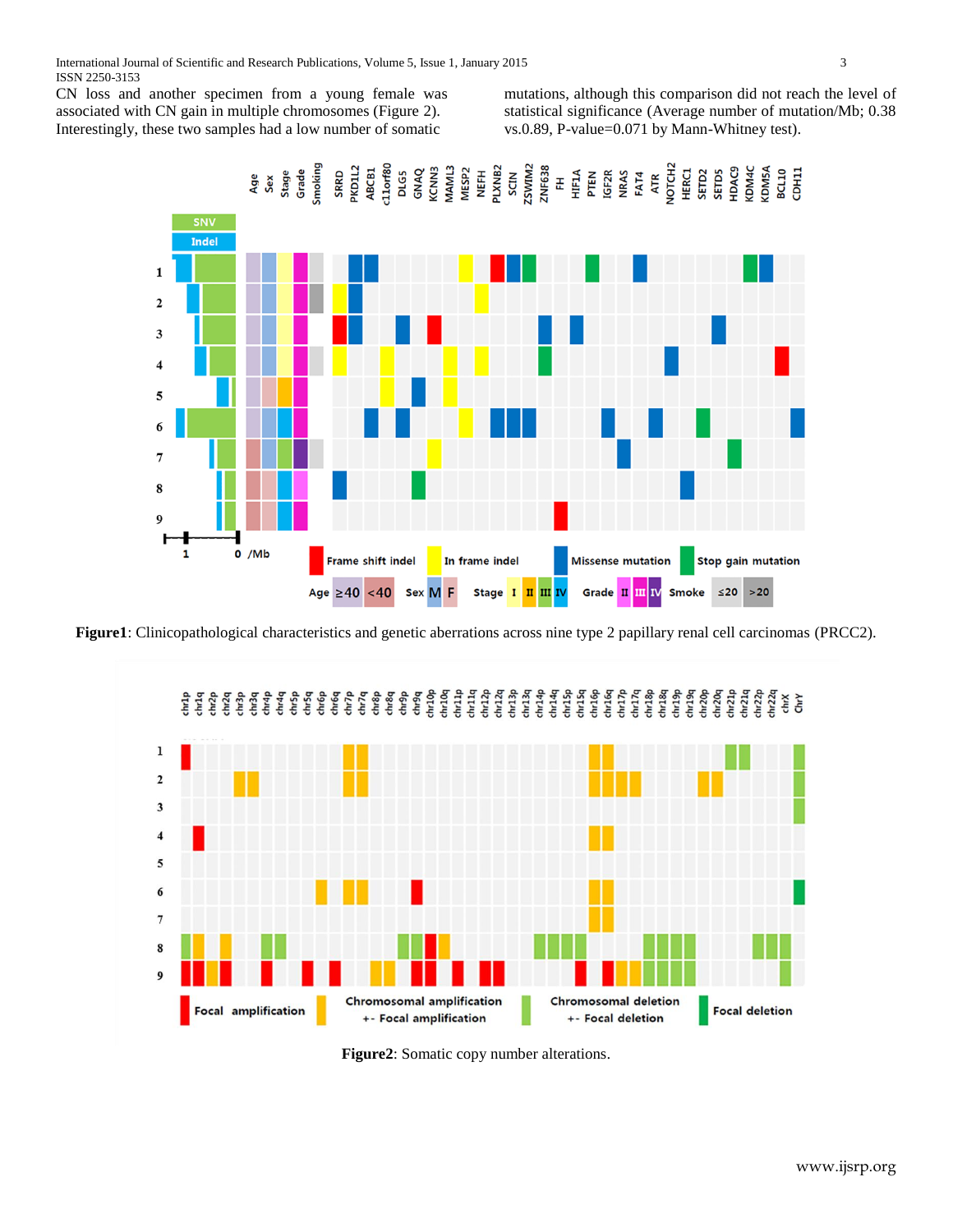International Journal of Scientific and Research Publications, Volume 5, Issue 1, January 2015 3 ISSN 2250-3153

CN loss and another specimen from a young female was associated with CN gain in multiple chromosomes (Figure 2). Interestingly, these two samples had a low number of somatic

mutations, although this comparison did not reach the level of statistical significance (Average number of mutation/Mb; 0.38 vs.0.89, P-value=0.071 by Mann-Whitney test).



**Figure1**: Clinicopathological characteristics and genetic aberrations across nine type 2 papillary renal cell carcinomas (PRCC2).



**Figure2**: Somatic copy number alterations.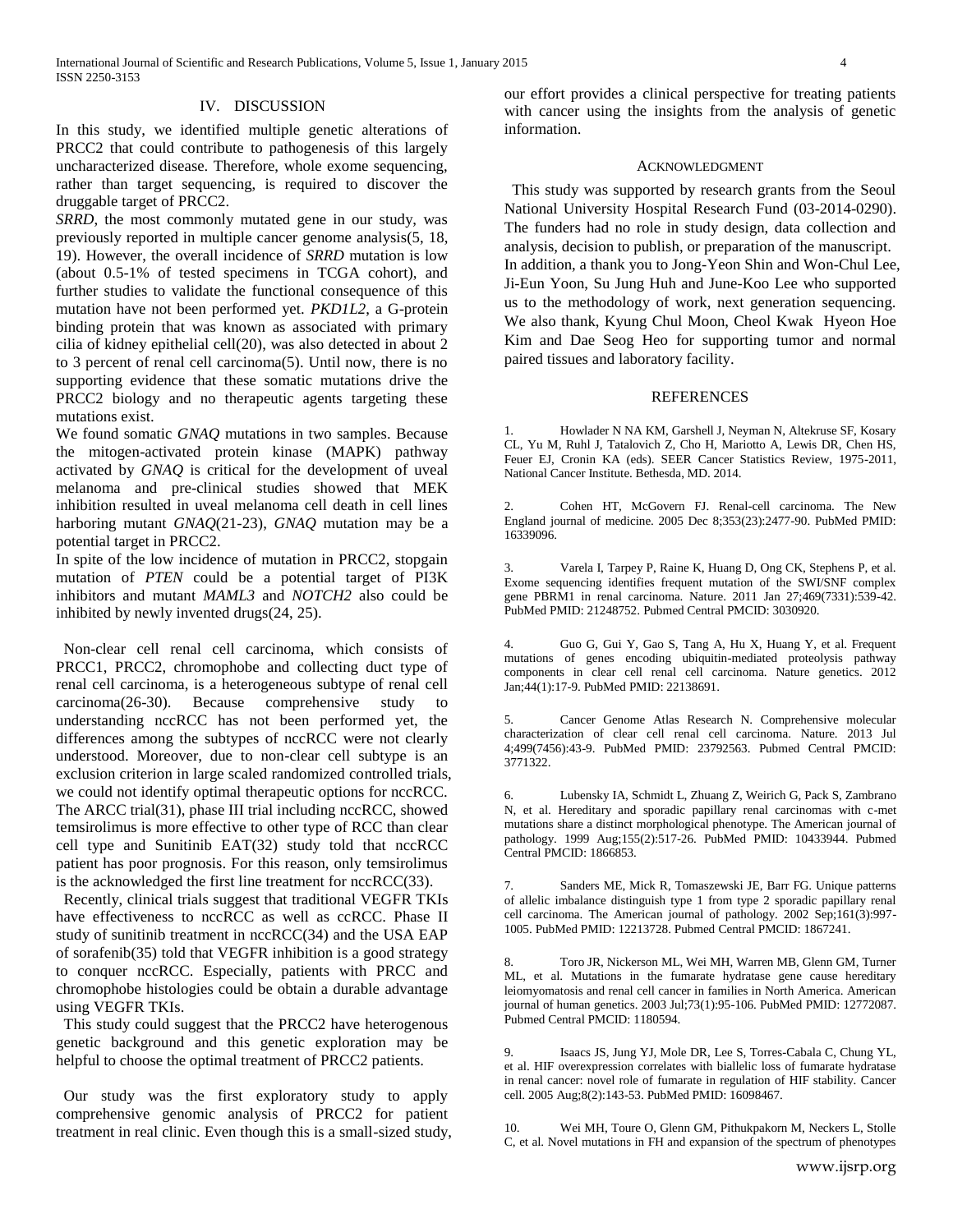# IV. DISCUSSION

In this study, we identified multiple genetic alterations of PRCC2 that could contribute to pathogenesis of this largely uncharacterized disease. Therefore, whole exome sequencing, rather than target sequencing, is required to discover the druggable target of PRCC2.

*SRRD*, the most commonly mutated gene in our study, was previously reported in multiple cancer genome analysis(5, 18, 19). However, the overall incidence of *SRRD* mutation is low (about 0.5-1% of tested specimens in TCGA cohort), and further studies to validate the functional consequence of this mutation have not been performed yet. *PKD1L2*, a G-protein binding protein that was known as associated with primary cilia of kidney epithelial cell(20), was also detected in about 2 to 3 percent of renal cell carcinoma(5). Until now, there is no supporting evidence that these somatic mutations drive the PRCC2 biology and no therapeutic agents targeting these mutations exist.

We found somatic *GNAQ* mutations in two samples. Because the mitogen-activated protein kinase (MAPK) pathway activated by *GNAQ* is critical for the development of uveal melanoma and pre-clinical studies showed that MEK inhibition resulted in uveal melanoma cell death in cell lines harboring mutant *GNAQ*(21-23), *GNAQ* mutation may be a potential target in PRCC2.

In spite of the low incidence of mutation in PRCC2, stopgain mutation of *PTEN* could be a potential target of PI3K inhibitors and mutant *MAML3* and *NOTCH2* also could be inhibited by newly invented drugs(24, 25).

Non-clear cell renal cell carcinoma, which consists of PRCC1, PRCC2, chromophobe and collecting duct type of renal cell carcinoma, is a heterogeneous subtype of renal cell carcinoma(26-30). Because comprehensive study to understanding nccRCC has not been performed yet, the differences among the subtypes of nccRCC were not clearly understood. Moreover, due to non-clear cell subtype is an exclusion criterion in large scaled randomized controlled trials, we could not identify optimal therapeutic options for nccRCC. The ARCC trial(31), phase III trial including nccRCC, showed temsirolimus is more effective to other type of RCC than clear cell type and Sunitinib EAT(32) study told that nccRCC patient has poor prognosis. For this reason, only temsirolimus is the acknowledged the first line treatment for nccRCC(33).

Recently, clinical trials suggest that traditional VEGFR TKIs have effectiveness to nccRCC as well as ccRCC. Phase II study of sunitinib treatment in nccRCC(34) and the USA EAP of sorafenib(35) told that VEGFR inhibition is a good strategy to conquer nccRCC. Especially, patients with PRCC and chromophobe histologies could be obtain a durable advantage using VEGFR TKIs.

This study could suggest that the PRCC2 have heterogenous genetic background and this genetic exploration may be helpful to choose the optimal treatment of PRCC2 patients.

Our study was the first exploratory study to apply comprehensive genomic analysis of PRCC2 for patient treatment in real clinic. Even though this is a small-sized study, our effort provides a clinical perspective for treating patients with cancer using the insights from the analysis of genetic information.

# ACKNOWLEDGMENT

This study was supported by research grants from the Seoul National University Hospital Research Fund (03-2014-0290). The funders had no role in study design, data collection and analysis, decision to publish, or preparation of the manuscript. In addition, a thank you to Jong-Yeon Shin and Won-Chul Lee, Ji-Eun Yoon, Su Jung Huh and June-Koo Lee who supported us to the methodology of work, next generation sequencing. We also thank, Kyung Chul Moon, Cheol Kwak Hyeon Hoe Kim and Dae Seog Heo for supporting tumor and normal paired tissues and laboratory facility.

#### **REFERENCES**

1. Howlader N NA KM, Garshell J, Neyman N, Altekruse SF, Kosary CL, Yu M, Ruhl J, Tatalovich Z, Cho H, Mariotto A, Lewis DR, Chen HS, Feuer EJ, Cronin KA (eds). SEER Cancer Statistics Review, 1975-2011, National Cancer Institute. Bethesda, MD. 2014.

2. Cohen HT, McGovern FJ. Renal-cell carcinoma. The New England journal of medicine. 2005 Dec 8;353(23):2477-90. PubMed PMID: 16339096.

3. Varela I, Tarpey P, Raine K, Huang D, Ong CK, Stephens P, et al. Exome sequencing identifies frequent mutation of the SWI/SNF complex gene PBRM1 in renal carcinoma. Nature. 2011 Jan 27;469(7331):539-42. PubMed PMID: 21248752. Pubmed Central PMCID: 3030920.

4. Guo G, Gui Y, Gao S, Tang A, Hu X, Huang Y, et al. Frequent mutations of genes encoding ubiquitin-mediated proteolysis pathway components in clear cell renal cell carcinoma. Nature genetics. 2012 Jan;44(1):17-9. PubMed PMID: 22138691.

5. Cancer Genome Atlas Research N. Comprehensive molecular characterization of clear cell renal cell carcinoma. Nature. 2013 Jul 4;499(7456):43-9. PubMed PMID: 23792563. Pubmed Central PMCID: 3771322.

6. Lubensky IA, Schmidt L, Zhuang Z, Weirich G, Pack S, Zambrano N, et al. Hereditary and sporadic papillary renal carcinomas with c-met mutations share a distinct morphological phenotype. The American journal of pathology. 1999 Aug;155(2):517-26. PubMed PMID: 10433944. Pubmed Central PMCID: 1866853.

7. Sanders ME, Mick R, Tomaszewski JE, Barr FG. Unique patterns of allelic imbalance distinguish type 1 from type 2 sporadic papillary renal cell carcinoma. The American journal of pathology. 2002 Sep;161(3):997- 1005. PubMed PMID: 12213728. Pubmed Central PMCID: 1867241.

8. Toro JR, Nickerson ML, Wei MH, Warren MB, Glenn GM, Turner ML, et al. Mutations in the fumarate hydratase gene cause hereditary leiomyomatosis and renal cell cancer in families in North America. American journal of human genetics. 2003 Jul;73(1):95-106. PubMed PMID: 12772087. Pubmed Central PMCID: 1180594.

9. Isaacs JS, Jung YJ, Mole DR, Lee S, Torres-Cabala C, Chung YL, et al. HIF overexpression correlates with biallelic loss of fumarate hydratase in renal cancer: novel role of fumarate in regulation of HIF stability. Cancer cell. 2005 Aug;8(2):143-53. PubMed PMID: 16098467.

10. Wei MH, Toure O, Glenn GM, Pithukpakorn M, Neckers L, Stolle C, et al. Novel mutations in FH and expansion of the spectrum of phenotypes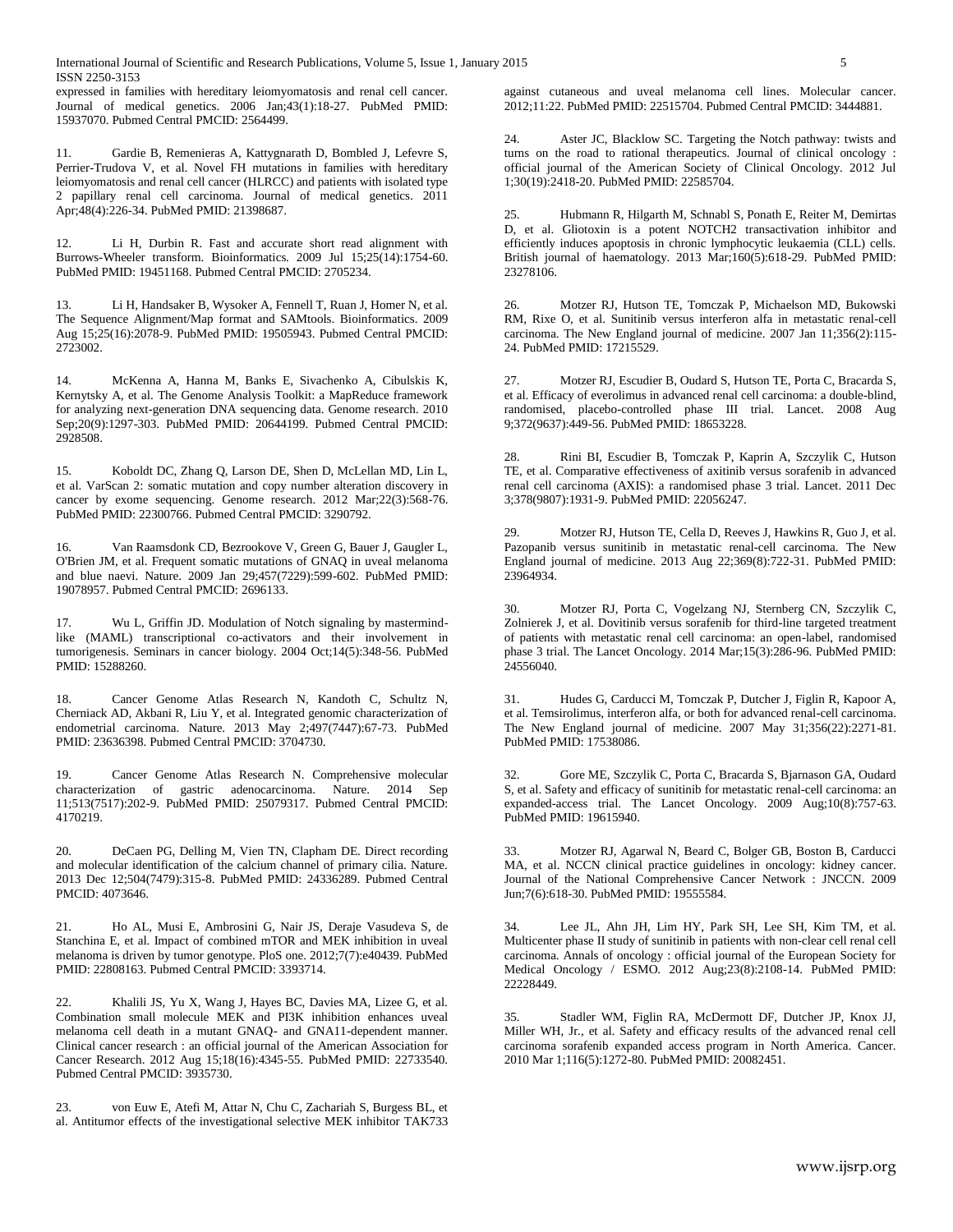expressed in families with hereditary leiomyomatosis and renal cell cancer. Journal of medical genetics. 2006 Jan;43(1):18-27. PubMed PMID: 15937070. Pubmed Central PMCID: 2564499.

11. Gardie B, Remenieras A, Kattygnarath D, Bombled J, Lefevre S, Perrier-Trudova V, et al. Novel FH mutations in families with hereditary leiomyomatosis and renal cell cancer (HLRCC) and patients with isolated type 2 papillary renal cell carcinoma. Journal of medical genetics. 2011 Apr;48(4):226-34. PubMed PMID: 21398687.

12. Li H, Durbin R. Fast and accurate short read alignment with Burrows-Wheeler transform. Bioinformatics. 2009 Jul 15;25(14):1754-60. PubMed PMID: 19451168. Pubmed Central PMCID: 2705234.

13. Li H, Handsaker B, Wysoker A, Fennell T, Ruan J, Homer N, et al. The Sequence Alignment/Map format and SAMtools. Bioinformatics. 2009 Aug 15;25(16):2078-9. PubMed PMID: 19505943. Pubmed Central PMCID: 2723002.

14. McKenna A, Hanna M, Banks E, Sivachenko A, Cibulskis K, Kernytsky A, et al. The Genome Analysis Toolkit: a MapReduce framework for analyzing next-generation DNA sequencing data. Genome research. 2010 Sep;20(9):1297-303. PubMed PMID: 20644199. Pubmed Central PMCID: 2928508.

15. Koboldt DC, Zhang Q, Larson DE, Shen D, McLellan MD, Lin L, et al. VarScan 2: somatic mutation and copy number alteration discovery in cancer by exome sequencing. Genome research. 2012 Mar;22(3):568-76. PubMed PMID: 22300766. Pubmed Central PMCID: 3290792.

16. Van Raamsdonk CD, Bezrookove V, Green G, Bauer J, Gaugler L, O'Brien JM, et al. Frequent somatic mutations of GNAQ in uveal melanoma and blue naevi. Nature. 2009 Jan 29;457(7229):599-602. PubMed PMID: 19078957. Pubmed Central PMCID: 2696133.

17. Wu L, Griffin JD. Modulation of Notch signaling by mastermindlike (MAML) transcriptional co-activators and their involvement in tumorigenesis. Seminars in cancer biology. 2004 Oct;14(5):348-56. PubMed PMID: 15288260.

18. Cancer Genome Atlas Research N, Kandoth C, Schultz N, Cherniack AD, Akbani R, Liu Y, et al. Integrated genomic characterization of endometrial carcinoma. Nature. 2013 May 2;497(7447):67-73. PubMed PMID: 23636398. Pubmed Central PMCID: 3704730.

19. Cancer Genome Atlas Research N. Comprehensive molecular characterization of gastric adenocarcinoma. Nature. 2014 Sep 11;513(7517):202-9. PubMed PMID: 25079317. Pubmed Central PMCID: 4170219.

20. DeCaen PG, Delling M, Vien TN, Clapham DE. Direct recording and molecular identification of the calcium channel of primary cilia. Nature. 2013 Dec 12;504(7479):315-8. PubMed PMID: 24336289. Pubmed Central PMCID: 4073646.

21. Ho AL, Musi E, Ambrosini G, Nair JS, Deraje Vasudeva S, de Stanchina E, et al. Impact of combined mTOR and MEK inhibition in uveal melanoma is driven by tumor genotype. PloS one. 2012;7(7):e40439. PubMed PMID: 22808163. Pubmed Central PMCID: 3393714.

22. Khalili JS, Yu X, Wang J, Hayes BC, Davies MA, Lizee G, et al. Combination small molecule MEK and PI3K inhibition enhances uveal melanoma cell death in a mutant GNAQ- and GNA11-dependent manner. Clinical cancer research : an official journal of the American Association for Cancer Research. 2012 Aug 15;18(16):4345-55. PubMed PMID: 22733540. Pubmed Central PMCID: 3935730.

23. von Euw E, Atefi M, Attar N, Chu C, Zachariah S, Burgess BL, et al. Antitumor effects of the investigational selective MEK inhibitor TAK733 against cutaneous and uveal melanoma cell lines. Molecular cancer. 2012;11:22. PubMed PMID: 22515704. Pubmed Central PMCID: 3444881.

24. Aster JC, Blacklow SC. Targeting the Notch pathway: twists and turns on the road to rational therapeutics. Journal of clinical oncology : official journal of the American Society of Clinical Oncology. 2012 Jul 1;30(19):2418-20. PubMed PMID: 22585704.

25. Hubmann R, Hilgarth M, Schnabl S, Ponath E, Reiter M, Demirtas D, et al. Gliotoxin is a potent NOTCH2 transactivation inhibitor and efficiently induces apoptosis in chronic lymphocytic leukaemia (CLL) cells. British journal of haematology. 2013 Mar;160(5):618-29. PubMed PMID: 23278106.

26. Motzer RJ, Hutson TE, Tomczak P, Michaelson MD, Bukowski RM, Rixe O, et al. Sunitinib versus interferon alfa in metastatic renal-cell carcinoma. The New England journal of medicine. 2007 Jan 11;356(2):115- 24. PubMed PMID: 17215529.

27. Motzer RJ, Escudier B, Oudard S, Hutson TE, Porta C, Bracarda S, et al. Efficacy of everolimus in advanced renal cell carcinoma: a double-blind, randomised, placebo-controlled phase III trial. Lancet. 2008 Aug 9;372(9637):449-56. PubMed PMID: 18653228.

28. Rini BI, Escudier B, Tomczak P, Kaprin A, Szczylik C, Hutson TE, et al. Comparative effectiveness of axitinib versus sorafenib in advanced renal cell carcinoma (AXIS): a randomised phase 3 trial. Lancet. 2011 Dec 3;378(9807):1931-9. PubMed PMID: 22056247.

29. Motzer RJ, Hutson TE, Cella D, Reeves J, Hawkins R, Guo J, et al. Pazopanib versus sunitinib in metastatic renal-cell carcinoma. The New England journal of medicine. 2013 Aug 22;369(8):722-31. PubMed PMID: 23964934.

30. Motzer RJ, Porta C, Vogelzang NJ, Sternberg CN, Szczylik C, Zolnierek J, et al. Dovitinib versus sorafenib for third-line targeted treatment of patients with metastatic renal cell carcinoma: an open-label, randomised phase 3 trial. The Lancet Oncology. 2014 Mar;15(3):286-96. PubMed PMID: 24556040.

31. Hudes G, Carducci M, Tomczak P, Dutcher J, Figlin R, Kapoor A, et al. Temsirolimus, interferon alfa, or both for advanced renal-cell carcinoma. The New England journal of medicine. 2007 May 31;356(22):2271-81. PubMed PMID: 17538086.

32. Gore ME, Szczylik C, Porta C, Bracarda S, Bjarnason GA, Oudard S, et al. Safety and efficacy of sunitinib for metastatic renal-cell carcinoma: an expanded-access trial. The Lancet Oncology. 2009 Aug;10(8):757-63. PubMed PMID: 19615940.

33. Motzer RJ, Agarwal N, Beard C, Bolger GB, Boston B, Carducci MA, et al. NCCN clinical practice guidelines in oncology: kidney cancer. Journal of the National Comprehensive Cancer Network : JNCCN. 2009 Jun;7(6):618-30. PubMed PMID: 19555584.

34. Lee JL, Ahn JH, Lim HY, Park SH, Lee SH, Kim TM, et al. Multicenter phase II study of sunitinib in patients with non-clear cell renal cell carcinoma. Annals of oncology : official journal of the European Society for Medical Oncology / ESMO. 2012 Aug;23(8):2108-14. PubMed PMID: 22228449.

35. Stadler WM, Figlin RA, McDermott DF, Dutcher JP, Knox JJ, Miller WH, Jr., et al. Safety and efficacy results of the advanced renal cell carcinoma sorafenib expanded access program in North America. Cancer. 2010 Mar 1;116(5):1272-80. PubMed PMID: 20082451.